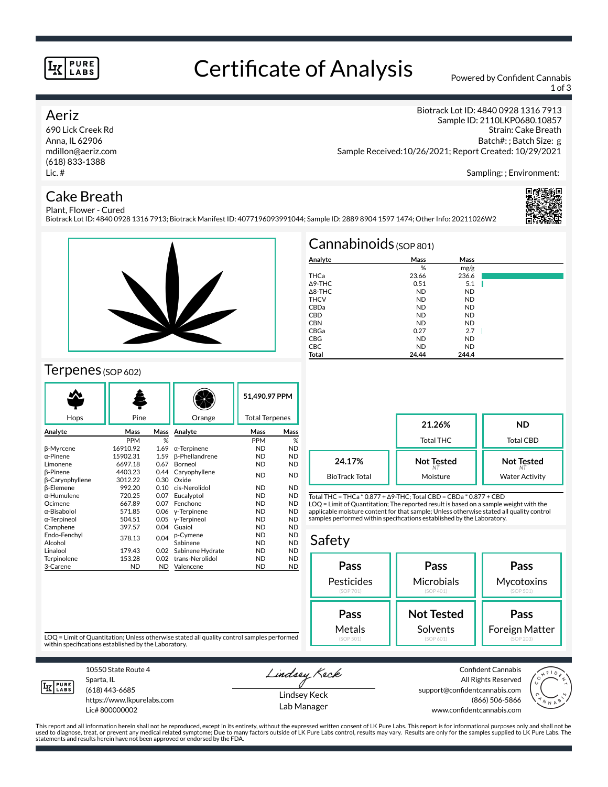#### **PURE LABS**

# Certificate of Analysis Powered by Confident Cannabis

1 of 3

Strain: Cake Breath Batch#: ; Batch Size: g

Biotrack Lot ID: 4840 0928 1316 7913 Sample ID: 2110LKP0680.10857

### Aeriz

690 Lick Creek Rd Anna, IL 62906 mdillon@aeriz.com (618) 833-1388 Lic. #

## Cake Breath

Sampling: ; Environment:

### Plant, Flower - Cured

Biotrack Lot ID: 4840 0928 1316 7913; Biotrack Manifest ID: 4077196093991044; Sample ID: 2889 8904 1597 1474; Other Info: 20211026W2





## Terpenes (SOP 602)

| Hops                   | Pine       |      | Orange                | 51.490.97 PPM<br><b>Total Terpenes</b> |           |
|------------------------|------------|------|-----------------------|----------------------------------------|-----------|
|                        |            |      |                       |                                        |           |
| Analyte                | Mass       | Mass | Analyte               | Mass                                   | Mass      |
|                        | <b>PPM</b> | %    |                       | PPM                                    | %         |
| <b>B-Myrcene</b>       | 16910.92   | 1.69 | $\alpha$ -Terpinene   | ND                                     | <b>ND</b> |
| α-Pinene               | 15902.31   | 1.59 | <b>ß-Phellandrene</b> | <b>ND</b>                              | <b>ND</b> |
| Limonene               | 6697.18    | 0.67 | Borneol               | <b>ND</b>                              | <b>ND</b> |
| <b>B-Pinene</b>        | 4403.23    | 0.44 | Caryophyllene         | <b>ND</b>                              | <b>ND</b> |
| <b>B-Caryophyllene</b> | 3012.22    | 0.30 | Oxide                 |                                        |           |
| <b>B-Elemene</b>       | 992.20     | 0.10 | cis-Nerolidol         | <b>ND</b>                              | <b>ND</b> |
| α-Humulene             | 720.25     | 0.07 | Eucalyptol            | ND.                                    | <b>ND</b> |
| Ocimene                | 667.89     | 0.07 | Fenchone              | ND.                                    | <b>ND</b> |
| α-Bisabolol            | 571.85     | 0.06 | y-Terpinene           | <b>ND</b>                              | <b>ND</b> |
| α-Terpineol            | 504.51     | 0.05 | y-Terpineol           | <b>ND</b>                              | <b>ND</b> |
| Camphene               | 397.57     | 0.04 | Guaiol                | <b>ND</b>                              | <b>ND</b> |
| Endo-Fenchyl           | 378.13     | 0.04 | p-Cymene              | <b>ND</b>                              | <b>ND</b> |
| Alcohol                |            |      | Sabinene              | <b>ND</b>                              | <b>ND</b> |
| Linalool               | 179.43     | 0.02 | Sabinene Hydrate      | <b>ND</b>                              | <b>ND</b> |
| Terpinolene            | 153.28     | 0.02 | trans-Nerolidol       | <b>ND</b>                              | <b>ND</b> |
| 3-Carene               | <b>ND</b>  | ND.  | Valencene             | <b>ND</b>                              | <b>ND</b> |

|                   | Cannabinoids $(sOP 801)$ |           |  |
|-------------------|--------------------------|-----------|--|
| Analyte           | Mass                     | Mass      |  |
|                   | %                        | mg/g      |  |
| THCa              | 23.66                    | 236.6     |  |
| $\triangle$ 9-THC | 0.51                     | 5.1       |  |
| $\triangle$ 8-THC | <b>ND</b>                | <b>ND</b> |  |
| <b>THCV</b>       | <b>ND</b>                | <b>ND</b> |  |
| CBDa              | <b>ND</b>                | <b>ND</b> |  |
| <b>CBD</b>        | <b>ND</b>                | <b>ND</b> |  |
| <b>CBN</b>        | <b>ND</b>                | <b>ND</b> |  |
| CBGa              | 0.27                     | 2.7       |  |
| <b>CBG</b>        | <b>ND</b>                | <b>ND</b> |  |
| <b>CBC</b>        | <b>ND</b>                | <b>ND</b> |  |
| Total             | 24.44                    | 244.4     |  |

Sample Received:10/26/2021; Report Created: 10/29/2021

**21.26%** Total THC **ND** Total CBD **Not Tested** *NT* Moisture **Not Tested** *NT* Water Activity **24.17%** BioTrack Total

Total THC = THCa \* 0.877 + ∆9-THC; Total CBD = CBDa \* 0.877 + CBD LOQ = Limit of Quantitation; The reported result is based on a sample weight with the applicable moisture content for that sample; Unless otherwise stated all quality control samples performed within specifications established by the Laboratory.

#### Safety



LOQ = Limit of Quantitation; Unless otherwise stated all quality control samples performed within specifications established by the Laboratory.



Sparta, IL (618) 443-6685

10550 State Route 4

https://www.lkpurelabs.com Lic# 800000002

Lindsey Keck

Lindsey Keck Lab Manager

Confident Cannabis All Rights Reserved support@confidentcannabis.com (866) 506-5866 www.confidentcannabis.com



This report and all information herein shall not be reproduced, except in its entirety, without the expressed written consent of LK Pure Labs. This report is for informational purposes only and shall not be<br>used to diagnos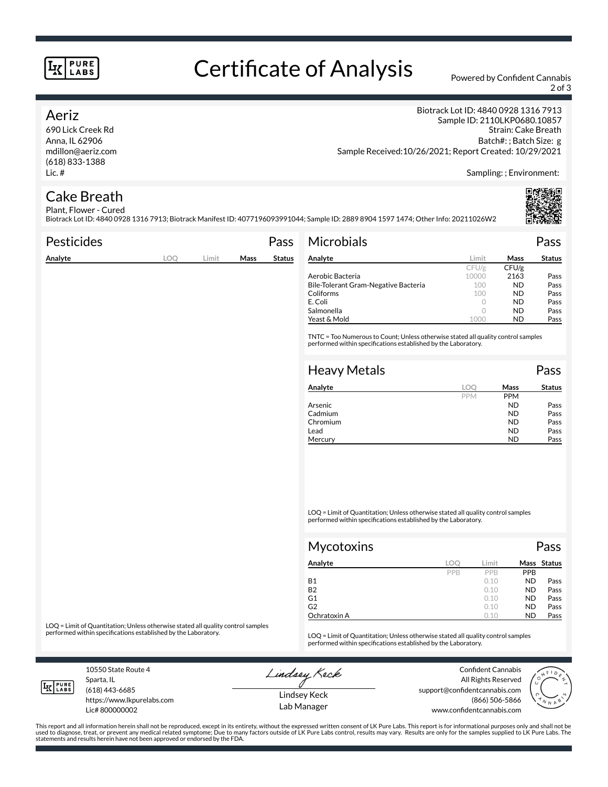#### **PURE LABS**

# Certificate of Analysis Powered by Confident Cannabis

2 of 3

### Aeriz

690 Lick Creek Rd Anna, IL 62906 mdillon@aeriz.com (618) 833-1388 Lic. #

Biotrack Lot ID: 4840 0928 1316 7913 Sample ID: 2110LKP0680.10857 Strain: Cake Breath Batch#: ; Batch Size: g Sample Received:10/26/2021; Report Created: 10/29/2021

Sampling: ; Environment:

#### Cake Breath Plant, Flower - Cured

Biotrack Lot ID: 4840 0928 1316 7913; Biotrack Manifest ID: 4077196093991044; Sample ID: 2889 8904 1597 1474; Other Info: 20211026W2

| <b>Pesticides</b> |            |       |      | Pass          | <b>Microbials</b>                                                                                                                                   |       |       | Pass          |
|-------------------|------------|-------|------|---------------|-----------------------------------------------------------------------------------------------------------------------------------------------------|-------|-------|---------------|
| Analyte           | <b>LOO</b> | Limit | Mass | <b>Status</b> | Analyte                                                                                                                                             | Limit | Mass  | <b>Status</b> |
|                   |            |       |      |               |                                                                                                                                                     | CFU/g | CFU/g |               |
|                   |            |       |      |               | Aerobic Bacteria                                                                                                                                    | 10000 | 2163  | Pass          |
|                   |            |       |      |               | Bile-Tolerant Gram-Negative Bacteria                                                                                                                | 100   | ND.   | Pass          |
|                   |            |       |      |               | Coliforms                                                                                                                                           | 100   | ND.   | Pass          |
|                   |            |       |      |               | E. Coli                                                                                                                                             | 0     | ND.   | Pass          |
|                   |            |       |      |               | Salmonella                                                                                                                                          | 0     | ND.   | Pass          |
|                   |            |       |      |               | Yeast & Mold                                                                                                                                        | 1000  | ND.   | Pass          |
|                   |            |       |      |               | TNTC = Too Numerous to Count; Unless otherwise stated all quality control samples<br>performed within specifications established by the Laboratory. |       |       |               |
|                   |            |       |      |               |                                                                                                                                                     |       |       |               |
|                   |            |       |      |               | <b>Heavy Metals</b>                                                                                                                                 |       |       | Pass          |

| Analyte  | loc        | Mass       | <b>Status</b> |
|----------|------------|------------|---------------|
|          | <b>PPM</b> | <b>PPM</b> |               |
| Arsenic  |            | <b>ND</b>  | Pass          |
| Cadmium  |            | <b>ND</b>  | Pass          |
| Chromium |            | <b>ND</b>  | Pass          |
| Lead     |            | <b>ND</b>  | Pass          |
| Mercury  |            | ND         | Pass          |

LOQ = Limit of Quantitation; Unless otherwise stated all quality control samples performed within specifications established by the Laboratory.

| Mycotoxins   |     |            |            | Pass        |
|--------------|-----|------------|------------|-------------|
| Analyte      | LOC | Limit      |            | Mass Status |
|              | PPB | <b>PPR</b> | <b>PPB</b> |             |
| <b>B1</b>    |     | 0.10       | <b>ND</b>  | Pass        |
| <b>B2</b>    |     | 0.10       | <b>ND</b>  | Pass        |
| G1           |     | 0.10       | <b>ND</b>  | Pass        |
| G2           |     | 0.10       | <b>ND</b>  | Pass        |
| Ochratoxin A |     | 0.10       | <b>ND</b>  | Pass        |

LOQ = Limit of Quantitation; Unless otherwise stated all quality control samples<br>performed within specifications established by the Laboratory.

LOQ = Limit of Quantitation; Unless otherwise stated all quality control samples performed within specifications established by the Laboratory.

10550 State Route 4 Sparta, IL (618) 443-6685

**LK** LABS

Lic# 800000002

https://www.lkpurelabs.com

Lindsey Keck

Confident Cannabis All Rights Reserved support@confidentcannabis.com (866) 506-5866



Lindsey Keck Lab Manager www.confidentcannabis.com

This report and all information herein shall not be reproduced, except in its entirety, without the expressed written consent of LK Pure Labs. This report is for informational purposes only and shall not be<br>used to diagnos statements and results herein have not been approved or endorsed by the FDA.